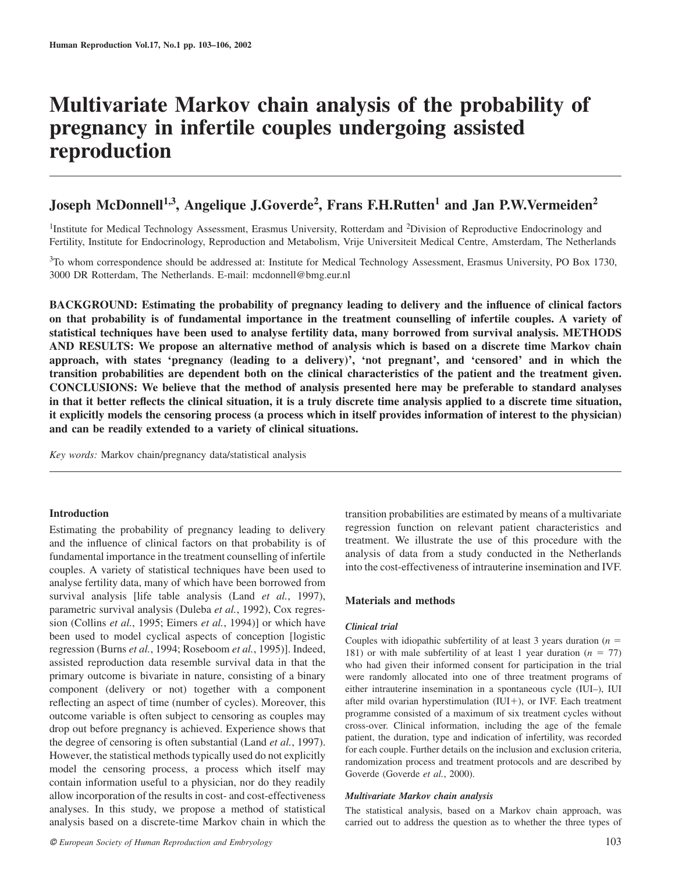# **Multivariate Markov chain analysis of the probability of pregnancy in infertile couples undergoing assisted reproduction**

# **Joseph McDonnell1,3, Angelique J.Goverde2, Frans F.H.Rutten1 and Jan P.W.Vermeiden<sup>2</sup>**

<sup>1</sup>Institute for Medical Technology Assessment, Erasmus University, Rotterdam and <sup>2</sup>Division of Reproductive Endocrinology and Fertility, Institute for Endocrinology, Reproduction and Metabolism, Vrije Universiteit Medical Centre, Amsterdam, The Netherlands

 $3$ To whom correspondence should be addressed at: Institute for Medical Technology Assessment, Erasmus University, PO Box 1730, 3000 DR Rotterdam, The Netherlands. E-mail: mcdonnell@bmg.eur.nl

**BACKGROUND: Estimating the probability of pregnancy leading to delivery and the influence of clinical factors on that probability is of fundamental importance in the treatment counselling of infertile couples. A variety of statistical techniques have been used to analyse fertility data, many borrowed from survival analysis. METHODS AND RESULTS: We propose an alternative method of analysis which is based on a discrete time Markov chain approach, with states 'pregnancy (leading to a delivery)', 'not pregnant', and 'censored' and in which the transition probabilities are dependent both on the clinical characteristics of the patient and the treatment given. CONCLUSIONS: We believe that the method of analysis presented here may be preferable to standard analyses in that it better reflects the clinical situation, it is a truly discrete time analysis applied to a discrete time situation, it explicitly models the censoring process (a process which in itself provides information of interest to the physician) and can be readily extended to a variety of clinical situations.**

*Key words:* Markov chain/pregnancy data/statistical analysis

# **Introduction**

Estimating the probability of pregnancy leading to delivery and the influence of clinical factors on that probability is of fundamental importance in the treatment counselling of infertile couples. A variety of statistical techniques have been used to analyse fertility data, many of which have been borrowed from survival analysis [life table analysis (Land *et al.*, 1997), parametric survival analysis (Duleba *et al.*, 1992), Cox regression (Collins *et al.*, 1995; Eimers *et al.*, 1994)] or which have been used to model cyclical aspects of conception [logistic regression (Burns *et al.*, 1994; Roseboom *et al.*, 1995)]. Indeed, assisted reproduction data resemble survival data in that the primary outcome is bivariate in nature, consisting of a binary component (delivery or not) together with a component reflecting an aspect of time (number of cycles). Moreover, this outcome variable is often subject to censoring as couples may drop out before pregnancy is achieved. Experience shows that the degree of censoring is often substantial (Land *et al.*, 1997). However, the statistical methods typically used do not explicitly model the censoring process, a process which itself may contain information useful to a physician, nor do they readily allow incorporation of the results in cost- and cost-effectiveness analyses. In this study, we propose a method of statistical analysis based on a discrete-time Markov chain in which the

transition probabilities are estimated by means of a multivariate regression function on relevant patient characteristics and treatment. We illustrate the use of this procedure with the analysis of data from a study conducted in the Netherlands into the cost-effectiveness of intrauterine insemination and IVF.

# **Materials and methods**

#### *Clinical trial*

Couples with idiopathic subfertility of at least 3 years duration  $(n =$ 181) or with male subfertility of at least 1 year duration  $(n = 77)$ who had given their informed consent for participation in the trial were randomly allocated into one of three treatment programs of either intrauterine insemination in a spontaneous cycle (IUI–), IUI after mild ovarian hyperstimulation (IUI-), or IVF. Each treatment programme consisted of a maximum of six treatment cycles without cross-over. Clinical information, including the age of the female patient, the duration, type and indication of infertility, was recorded for each couple. Further details on the inclusion and exclusion criteria, randomization process and treatment protocols and are described by Goverde (Goverde *et al.*, 2000).

#### *Multivariate Markov chain analysis*

The statistical analysis, based on a Markov chain approach, was carried out to address the question as to whether the three types of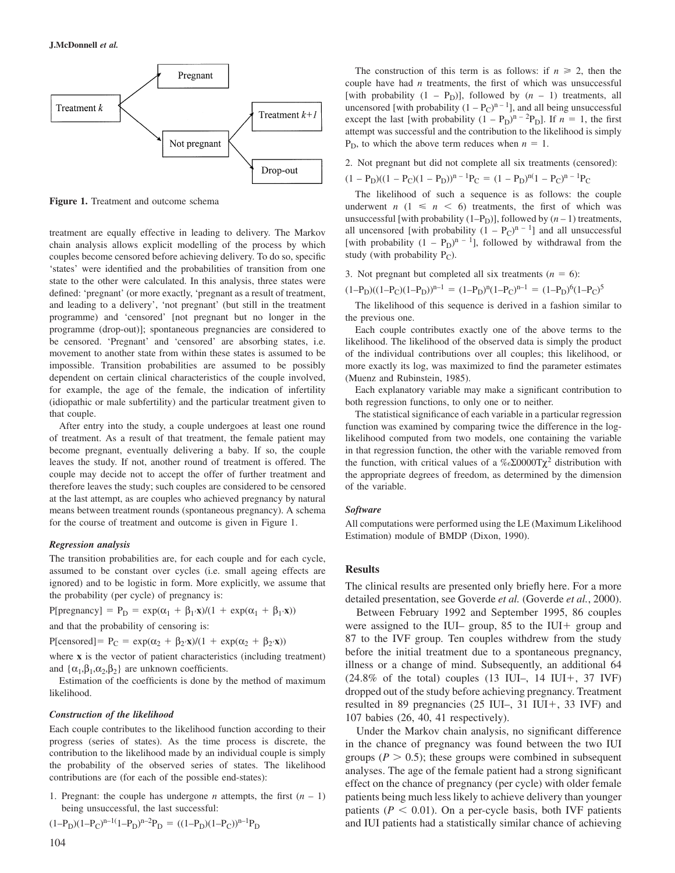

**Figure 1.** Treatment and outcome schema

treatment are equally effective in leading to delivery. The Markov chain analysis allows explicit modelling of the process by which couples become censored before achieving delivery. To do so, specific 'states' were identified and the probabilities of transition from one state to the other were calculated. In this analysis, three states were defined: 'pregnant' (or more exactly, 'pregnant as a result of treatment, and leading to a delivery', 'not pregnant' (but still in the treatment programme) and 'censored' [not pregnant but no longer in the programme (drop-out)]; spontaneous pregnancies are considered to be censored. 'Pregnant' and 'censored' are absorbing states, i.e. movement to another state from within these states is assumed to be impossible. Transition probabilities are assumed to be possibly dependent on certain clinical characteristics of the couple involved, for example, the age of the female, the indication of infertility (idiopathic or male subfertility) and the particular treatment given to that couple.

After entry into the study, a couple undergoes at least one round of treatment. As a result of that treatment, the female patient may become pregnant, eventually delivering a baby. If so, the couple leaves the study. If not, another round of treatment is offered. The couple may decide not to accept the offer of further treatment and therefore leaves the study; such couples are considered to be censored at the last attempt, as are couples who achieved pregnancy by natural means between treatment rounds (spontaneous pregnancy). A schema for the course of treatment and outcome is given in Figure 1.

#### *Regression analysis*

The transition probabilities are, for each couple and for each cycle, assumed to be constant over cycles (i.e. small ageing effects are ignored) and to be logistic in form. More explicitly, we assume that the probability (per cycle) of pregnancy is:

 $P[pregnancy] = P_D = exp(\alpha_1 + \beta_1 \cdot \mathbf{x})/(1 + exp(\alpha_1 + \beta_1 \cdot \mathbf{x}))$ 

and that the probability of censoring is:

P[censored]=  $P_C = \exp(\alpha_2 + \beta_2 \mathbf{x})/(1 + \exp(\alpha_2 + \beta_2 \mathbf{x}))$ 

where **x** is the vector of patient characteristics (including treatment) and  $\{\alpha_1, \beta_1, \alpha_2, \beta_2\}$  are unknown coefficients.

Estimation of the coefficients is done by the method of maximum likelihood.

#### *Construction of the likelihood*

Each couple contributes to the likelihood function according to their progress (series of states). As the time process is discrete, the contribution to the likelihood made by an individual couple is simply the probability of the observed series of states. The likelihood contributions are (for each of the possible end-states):

1. Pregnant: the couple has undergone *n* attempts, the first  $(n - 1)$ being unsuccessful, the last successful:

$$
(1-P_D)(1-P_C)^{n-1}(1-P_D)^{n-2}P_D = ((1-P_D)(1-P_C))^{n-1}P_D
$$

The construction of this term is as follows: if  $n \geq 2$ , then the couple have had *n* treatments, the first of which was unsuccessful [with probability  $(1 - P_D)$ ], followed by  $(n - 1)$  treatments, all uncensored [with probability  $(1 - P_C)^{n-1}$ ], and all being unsuccessful except the last [with probability  $(1 - P_D)^{n-2}P_D$ ]. If  $n = 1$ , the first attempt was successful and the contribution to the likelihood is simply  $P<sub>D</sub>$ , to which the above term reduces when  $n = 1$ .

2. Not pregnant but did not complete all six treatments (censored):

 $(1 - P_D)((1 - P_C)(1 - P_D))^{n-1}P_C = (1 - P_D)^{n-1}P_C$ 

The likelihood of such a sequence is as follows: the couple underwent  $n$  (1  $\leq n$  < 6) treatments, the first of which was unsuccessful [with probability  $(1-P_D)$ ], followed by  $(n-1)$  treatments, all uncensored [with probability  $(1 - P_C)^{n-1}$ ] and all unsuccessful [with probability  $(1 - P_D)^{n-1}$ ], followed by withdrawal from the study (with probability  $P_C$ ).

3. Not pregnant but completed all six treatments  $(n = 6)$ :

 $(1-P_D)((1-P_C)(1-P_D))^{n-1} = (1-P_D)^n(1-P_C)^{n-1} = (1-P_D)^6(1-P_C)^5$ 

The likelihood of this sequence is derived in a fashion similar to the previous one.

Each couple contributes exactly one of the above terms to the likelihood. The likelihood of the observed data is simply the product of the individual contributions over all couples; this likelihood, or more exactly its log, was maximized to find the parameter estimates (Muenz and Rubinstein, 1985).

Each explanatory variable may make a significant contribution to both regression functions, to only one or to neither.

The statistical significance of each variable in a particular regression function was examined by comparing twice the difference in the loglikelihood computed from two models, one containing the variable in that regression function, the other with the variable removed from the function, with critical values of a ‰Σ0000T $\chi^2$  distribution with the appropriate degrees of freedom, as determined by the dimension of the variable.

#### *Software*

All computations were performed using the LE (Maximum Likelihood Estimation) module of BMDP (Dixon, 1990).

## **Results**

The clinical results are presented only briefly here. For a more detailed presentation, see Goverde *et al.* (Goverde *et al.*, 2000).

Between February 1992 and September 1995, 86 couples were assigned to the IUI– group, 85 to the IUI+ group and 87 to the IVF group. Ten couples withdrew from the study before the initial treatment due to a spontaneous pregnancy, illness or a change of mind. Subsequently, an additional 64  $(24.8\% \text{ of the total})$  couples  $(13 \text{ IUI}-, 14 \text{ IUI}+, 37 \text{ IVF})$ dropped out of the study before achieving pregnancy. Treatment resulted in 89 pregnancies (25 IUI–, 31 IUI-, 33 IVF) and 107 babies (26, 40, 41 respectively).

Under the Markov chain analysis, no significant difference in the chance of pregnancy was found between the two IUI groups ( $P > 0.5$ ); these groups were combined in subsequent analyses. The age of the female patient had a strong significant effect on the chance of pregnancy (per cycle) with older female patients being much less likely to achieve delivery than younger patients ( $P < 0.01$ ). On a per-cycle basis, both IVF patients and IUI patients had a statistically similar chance of achieving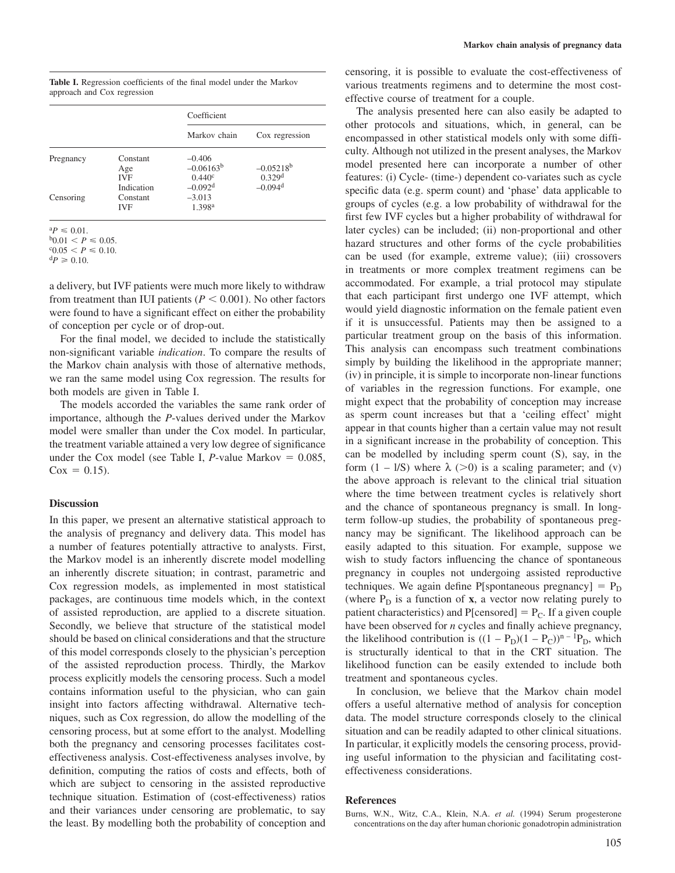**Table I.** Regression coefficients of the final model under the Markov approach and Cox regression

|           |                               | Coefficient                                 |                                      |
|-----------|-------------------------------|---------------------------------------------|--------------------------------------|
|           |                               | Markov chain                                | Cox regression                       |
| Pregnancy | Constant<br>Age<br><b>IVF</b> | $-0.406$<br>$-0.06163^b$<br>$0.440^{\circ}$ | $-0.05218^{b}$<br>0.329 <sup>d</sup> |
| Censoring | Indication<br>Constant        | $-0.092$ <sup>d</sup><br>$-3.013$           | $-0.094$ <sup>d</sup>                |
|           | <b>IVF</b>                    | 1.398 <sup>a</sup>                          |                                      |

 ${}^{\rm a}P \leqslant 0.01$ .

 $p_{0.01} < p \le 0.05$ .

 ${}^{c}0.05 < P \le 0.10.$ <br> ${}^{d}P \ge 0.10.$ 

a delivery, but IVF patients were much more likely to withdraw from treatment than IUI patients ( $P \leq 0.001$ ). No other factors were found to have a significant effect on either the probability of conception per cycle or of drop-out.

For the final model, we decided to include the statistically non-significant variable *indication*. To compare the results of the Markov chain analysis with those of alternative methods, we ran the same model using Cox regression. The results for both models are given in Table I.

The models accorded the variables the same rank order of importance, although the *P*-values derived under the Markov model were smaller than under the Cox model. In particular, the treatment variable attained a very low degree of significance under the Cox model (see Table I,  $P$ -value Markov  $= 0.085$ ,  $Cox = 0.15$ .

### **Discussion**

In this paper, we present an alternative statistical approach to the analysis of pregnancy and delivery data. This model has a number of features potentially attractive to analysts. First, the Markov model is an inherently discrete model modelling an inherently discrete situation; in contrast, parametric and Cox regression models, as implemented in most statistical packages, are continuous time models which, in the context of assisted reproduction, are applied to a discrete situation. Secondly, we believe that structure of the statistical model should be based on clinical considerations and that the structure of this model corresponds closely to the physician's perception of the assisted reproduction process. Thirdly, the Markov process explicitly models the censoring process. Such a model contains information useful to the physician, who can gain insight into factors affecting withdrawal. Alternative techniques, such as Cox regression, do allow the modelling of the censoring process, but at some effort to the analyst. Modelling both the pregnancy and censoring processes facilitates costeffectiveness analysis. Cost-effectiveness analyses involve, by definition, computing the ratios of costs and effects, both of which are subject to censoring in the assisted reproductive technique situation. Estimation of (cost-effectiveness) ratios and their variances under censoring are problematic, to say the least. By modelling both the probability of conception and

censoring, it is possible to evaluate the cost-effectiveness of various treatments regimens and to determine the most costeffective course of treatment for a couple.

The analysis presented here can also easily be adapted to other protocols and situations, which, in general, can be encompassed in other statistical models only with some difficulty. Although not utilized in the present analyses, the Markov model presented here can incorporate a number of other features: (i) Cycle- (time-) dependent co-variates such as cycle specific data (e.g. sperm count) and 'phase' data applicable to groups of cycles (e.g. a low probability of withdrawal for the first few IVF cycles but a higher probability of withdrawal for later cycles) can be included; (ii) non-proportional and other hazard structures and other forms of the cycle probabilities can be used (for example, extreme value); (iii) crossovers in treatments or more complex treatment regimens can be accommodated. For example, a trial protocol may stipulate that each participant first undergo one IVF attempt, which would yield diagnostic information on the female patient even if it is unsuccessful. Patients may then be assigned to a particular treatment group on the basis of this information. This analysis can encompass such treatment combinations simply by building the likelihood in the appropriate manner; (iv) in principle, it is simple to incorporate non-linear functions of variables in the regression functions. For example, one might expect that the probability of conception may increase as sperm count increases but that a 'ceiling effect' might appear in that counts higher than a certain value may not result in a significant increase in the probability of conception. This can be modelled by including sperm count (S), say, in the form  $(1 - 1/S)$  where  $\lambda$  (>0) is a scaling parameter; and (v) the above approach is relevant to the clinical trial situation where the time between treatment cycles is relatively short and the chance of spontaneous pregnancy is small. In longterm follow-up studies, the probability of spontaneous pregnancy may be significant. The likelihood approach can be easily adapted to this situation. For example, suppose we wish to study factors influencing the chance of spontaneous pregnancy in couples not undergoing assisted reproductive techniques. We again define P[spontaneous pregnancy]  $= P_D$ (where  $P_D$  is a function of **x**, a vector now relating purely to patient characteristics) and  $P[$ censored] =  $P_C$ . If a given couple have been observed for *n* cycles and finally achieve pregnancy, the likelihood contribution is  $((1 - P_D)(1 - P_C))^{n-1}P_D$ , which is structurally identical to that in the CRT situation. The likelihood function can be easily extended to include both treatment and spontaneous cycles.

In conclusion, we believe that the Markov chain model offers a useful alternative method of analysis for conception data. The model structure corresponds closely to the clinical situation and can be readily adapted to other clinical situations. In particular, it explicitly models the censoring process, providing useful information to the physician and facilitating costeffectiveness considerations.

# **References**

Burns, W.N., Witz, C.A., Klein, N.A. *et al.* (1994) Serum progesterone concentrations on the day after human chorionic gonadotropin administration